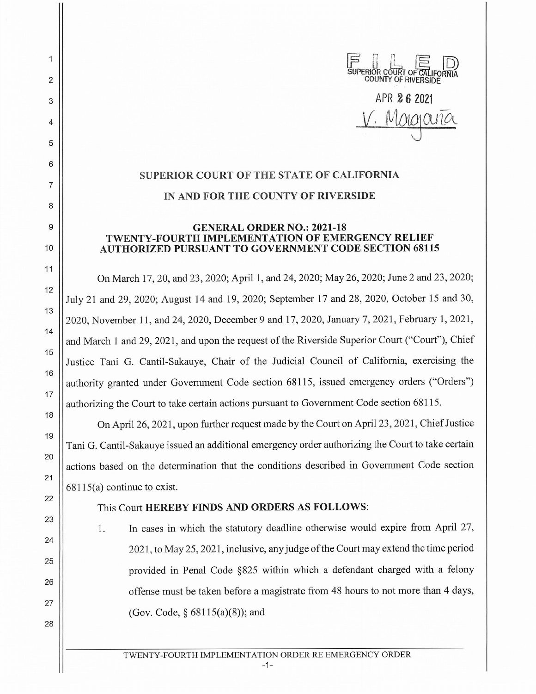

## **SUPERIOR COURT OF THE STATE OF CALIFORNIA IN AND FOR THE COUNTY OF RIVERSIDE**

## **GENERAL ORDER NO.: 2021-18 TWENTY-FOURTH IMPLEMENTATION OF EMERGENCY RELIEF AUTHORIZED PURSUANT TO GOVERNMENT CODE SECTION 68115**

On March 17, 20, and 23, 2020; April 1, and 24, 2020; May 26, 2020; June 2 and 23, 2020; July 21 and 29, 2020; August 14 and 19, 2020; September 17 and 28, 2020, October 15 and 30, 2020, November 11, and 24, 2020, December 9 and 17, 2020, January 7, 2021, February 1, 2021 , and March 1 and 29, 2021, and upon the request of the Riverside Superior Court ("Court"), Chief Justice Tani G. Cantil-Sakauye, Chair of the Judicial Council of California, exercising the authority granted under Government Code section 68115, issued emergency orders ("Orders") authorizing the Court to take certain actions pursuant to Government Code section 68115.

On April 26, 2021 , upon further request made by the Court on April 23, 2021 , Chief Justice Tani G. Cantil-Sakauye issued an additional emergency order authorizing the Court to take certain actions based on the determination that the conditions described in Government Code section 68115(a) continue to exist.

## This Court **HEREBY FINDS AND ORDERS AS FOLLOWS:**

1. In cases in which the statutory deadline otherwise would expire from April 27, 2021 , to May 25, 2021 , inclusive, any judge of the Court may extend the time period provided in Penal Code §825 within which a defendant charged with a felony offense must be taken before a magistrate from 48 hours to not more than 4 days, (Gov. Code, § 68115(a)(8)); and

 $\overline{1}$